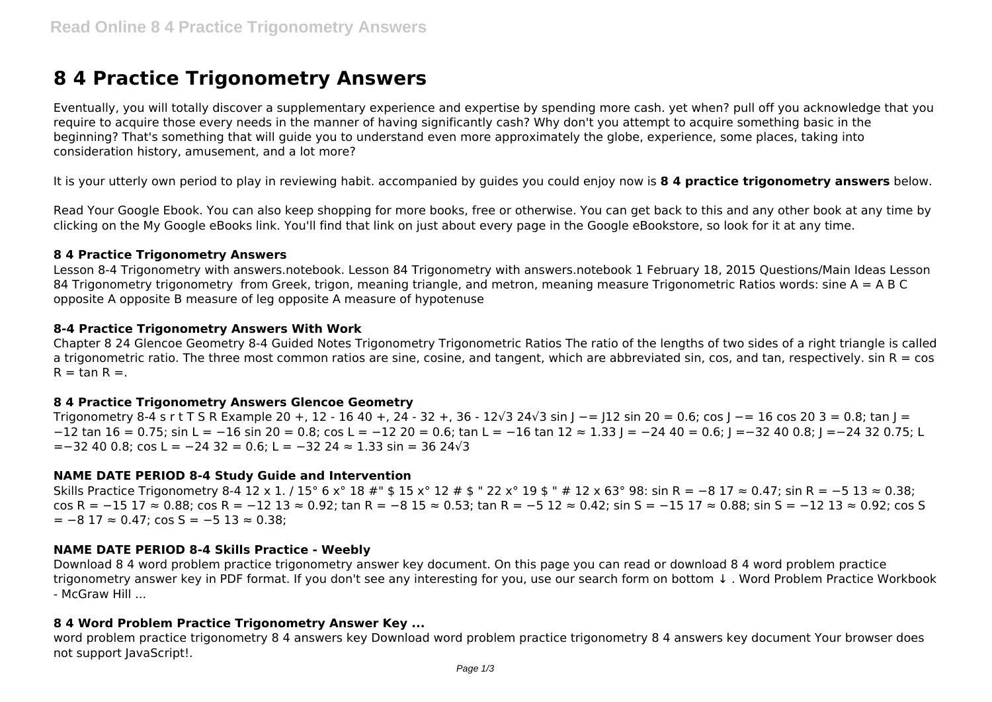# **8 4 Practice Trigonometry Answers**

Eventually, you will totally discover a supplementary experience and expertise by spending more cash. yet when? pull off you acknowledge that you require to acquire those every needs in the manner of having significantly cash? Why don't you attempt to acquire something basic in the beginning? That's something that will guide you to understand even more approximately the globe, experience, some places, taking into consideration history, amusement, and a lot more?

It is your utterly own period to play in reviewing habit. accompanied by guides you could enjoy now is **8 4 practice trigonometry answers** below.

Read Your Google Ebook. You can also keep shopping for more books, free or otherwise. You can get back to this and any other book at any time by clicking on the My Google eBooks link. You'll find that link on just about every page in the Google eBookstore, so look for it at any time.

#### **8 4 Practice Trigonometry Answers**

Lesson 8-4 Trigonometry with answers.notebook. Lesson 84 Trigonometry with answers.notebook 1 February 18, 2015 Questions/Main Ideas Lesson 84 Trigonometry trigonometry from Greek, trigon, meaning triangle, and metron, meaning measure Trigonometric Ratios words: sine A = A B C opposite A opposite B measure of leg opposite A measure of hypotenuse

## **8-4 Practice Trigonometry Answers With Work**

Chapter 8 24 Glencoe Geometry 8-4 Guided Notes Trigonometry Trigonometric Ratios The ratio of the lengths of two sides of a right triangle is called a trigonometric ratio. The three most common ratios are sine, cosine, and tangent, which are abbreviated sin, cos, and tan, respectively. sin  $R = \cos$  $R = \tan R =$ .

#### **8 4 Practice Trigonometry Answers Glencoe Geometry**

Trigonometry 8-4 s r t T S R Example 20 +, 12 - 16 40 +, 24 - 32 +, 36 - 12√3 24√3 sin I -= I12 sin 20 = 0.6; cos I -= 16 cos 20 3 = 0.8; tan I = −12 tan 16 = 0.75; sin L = −16 sin 20 = 0.8; cos L = −12 20 = 0.6; tan L = −16 tan 12 ≈ 1.33 J = −24 40 = 0.6; J =−32 40 0.8; J =−24 32 0.75; L  $=-32,40,0.8$ ; cos L =  $-24,32 = 0.6$ ; L =  $-32,24 \approx 1.33$  sin = 36 24 $\sqrt{3}$ 

#### **NAME DATE PERIOD 8-4 Study Guide and Intervention**

Skills Practice Trigonometry 8-4 12 x 1. / 15° 6 x° 18 #" \$ 15 x° 12 # \$ " 22 x° 19 \$ " # 12 x 63° 98: sin R = −8 17 ≈ 0.47; sin R = −5 13 ≈ 0.38; cos R = −15 17 ≈ 0.88; cos R = −12 13 ≈ 0.92; tan R = −8 15 ≈ 0.53; tan R = −5 12 ≈ 0.42; sin S = −15 17 ≈ 0.88; sin S = −12 13 ≈ 0.92; cos S  $= -8$  17  $\approx$  0.47; cos S = -5 13  $\approx$  0.38;

#### **NAME DATE PERIOD 8-4 Skills Practice - Weebly**

Download 8 4 word problem practice trigonometry answer key document. On this page you can read or download 8 4 word problem practice trigonometry answer key in PDF format. If you don't see any interesting for you, use our search form on bottom ↓ . Word Problem Practice Workbook - McGraw Hill ...

#### **8 4 Word Problem Practice Trigonometry Answer Key ...**

word problem practice trigonometry 8 4 answers key Download word problem practice trigonometry 8 4 answers key document Your browser does not support JavaScript!.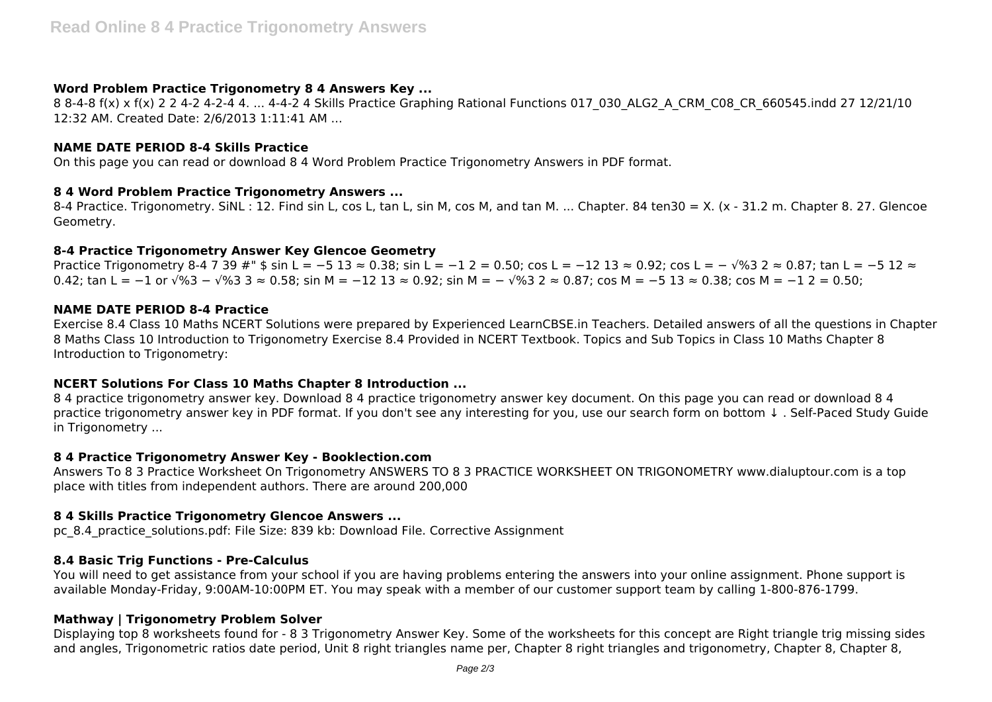## **Word Problem Practice Trigonometry 8 4 Answers Key ...**

8 8-4-8 f(x) x f(x) 2 2 4-2 4-2-4 4. ... 4-4-2 4 Skills Practice Graphing Rational Functions 017\_030\_ALG2\_A\_CRM\_C08\_CR\_660545.indd 27 12/21/10 12:32 AM. Created Date: 2/6/2013 1:11:41 AM ...

## **NAME DATE PERIOD 8-4 Skills Practice**

On this page you can read or download 8 4 Word Problem Practice Trigonometry Answers in PDF format.

## **8 4 Word Problem Practice Trigonometry Answers ...**

8-4 Practice. Trigonometry. SiNL: 12. Find sin L, cos L, tan L, sin M, cos M, and tan M. ... Chapter. 84 ten30 = X. (x - 31.2 m. Chapter 8. 27. Glencoe Geometry.

## **8-4 Practice Trigonometry Answer Key Glencoe Geometry**

Practice Trigonometry 8-4 7 39 #" \$ sin L = -5 13 ≈ 0.38; sin L = -1 2 = 0.50; cos L = -12 13 ≈ 0.92; cos L = - √%3 2 ≈ 0.87; tan L = -5 12 ≈ 0.42; tan L = -1 or √%3 - √%3 3 ≈ 0.58; sin M = -12 13 ≈ 0.92; sin M = - √%3 2 ≈ 0.87; cos M = -5 13 ≈ 0.38; cos M = -1 2 = 0.50;

## **NAME DATE PERIOD 8-4 Practice**

Exercise 8.4 Class 10 Maths NCERT Solutions were prepared by Experienced LearnCBSE.in Teachers. Detailed answers of all the questions in Chapter 8 Maths Class 10 Introduction to Trigonometry Exercise 8.4 Provided in NCERT Textbook. Topics and Sub Topics in Class 10 Maths Chapter 8 Introduction to Trigonometry:

# **NCERT Solutions For Class 10 Maths Chapter 8 Introduction ...**

8 4 practice trigonometry answer key. Download 8 4 practice trigonometry answer key document. On this page you can read or download 8 4 practice trigonometry answer key in PDF format. If you don't see any interesting for you, use our search form on bottom ↓ . Self-Paced Study Guide in Trigonometry ...

#### **8 4 Practice Trigonometry Answer Key - Booklection.com**

Answers To 8 3 Practice Worksheet On Trigonometry ANSWERS TO 8 3 PRACTICE WORKSHEET ON TRIGONOMETRY www.dialuptour.com is a top place with titles from independent authors. There are around 200,000

# **8 4 Skills Practice Trigonometry Glencoe Answers ...**

pc\_8.4\_practice\_solutions.pdf: File Size: 839 kb: Download File. Corrective Assignment

# **8.4 Basic Trig Functions - Pre-Calculus**

You will need to get assistance from your school if you are having problems entering the answers into your online assignment. Phone support is available Monday-Friday, 9:00AM-10:00PM ET. You may speak with a member of our customer support team by calling 1-800-876-1799.

# **Mathway | Trigonometry Problem Solver**

Displaying top 8 worksheets found for - 8 3 Trigonometry Answer Key. Some of the worksheets for this concept are Right triangle trig missing sides and angles, Trigonometric ratios date period, Unit 8 right triangles name per, Chapter 8 right triangles and trigonometry, Chapter 8, Chapter 8,